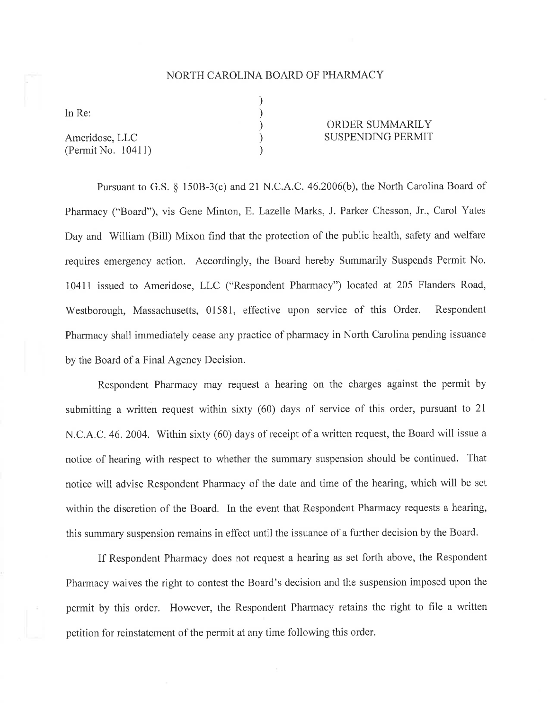## NORTH CAROLINA BOARD OF PHARMACY

) ) ) ) )

In Re:

Ameridose, LLC (Permit No. 10411)

## ORDER SUMMARILY SUSPENDING PERMIT

Pursuant to G.S.  $\frac{150B-3(c)}{c}$  and 21 N.C.A.C. 46.2006(b), the North Carolina Board of Pharmacy ("Board"), vis Gene Minton, E. Lazelle Marks, J. Parker Chesson, Jr., Carol Yates Day and William (Bill) Mixon find that the protection of the public health, safety and welfare requires emergency action. Accordingly, the Board hereby Summarily Suspends Permit No, 10411 issued to Ameridose, LLC ("Respondent Pharmacy") located at 205 Flanders Road, Westborough, Massachusetts, 01581, effective upon service of this Order. Respondent Pharmacy shall immediately cease any practice of pharmacy in North Carolina pending issuance by the Board of a Final Agency Decision.

Respondent Pharmacy may request a hearing on the charges against the permit by submitting a written request within sixty (60) days of service of this order, pursuant to 2l N.C.A.C. 46. 2004. Within sixty (60) days of receipt of a written request, the Board will issue a notice of hearing with respect to whether the summary suspension should be continued. That notice will advise Respondent Pharmacy of the date and time of the hearing, which will be set within the discretion of the Board. In the event that Respondent Pharmacy requests a hearing, this summary suspension remains in effect until the issuance of a further decision by the Board.

If Respondent Pharmacy does not request a hearing as set forth above, the Respondent Pharmacy waives the right to contest the Board's decision and the suspension imposed upon the permit by this order. However, the Respondent Pharmacy retains the right to file a written petition for reinstatement of the permit at any time following this order.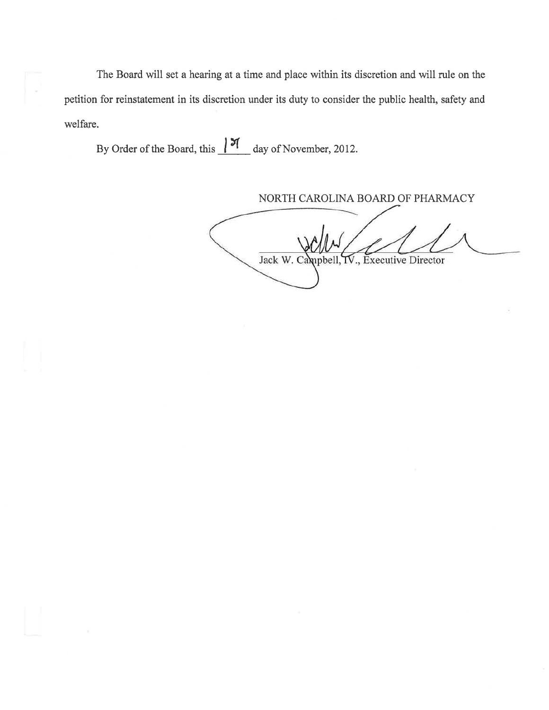The Board will set a hearing at a time and place within its discretion and will rule on the petition for reinstatement in its discretion under its duty to consider the public health, safety and welfare.

By Order of the Board, this  $\frac{|\mathcal{F}|}{|}$  day of November, 2012.

NORTH CAROLINA BOARD OF PHARMACY

Jack W. Campbell, IV., Executive Director